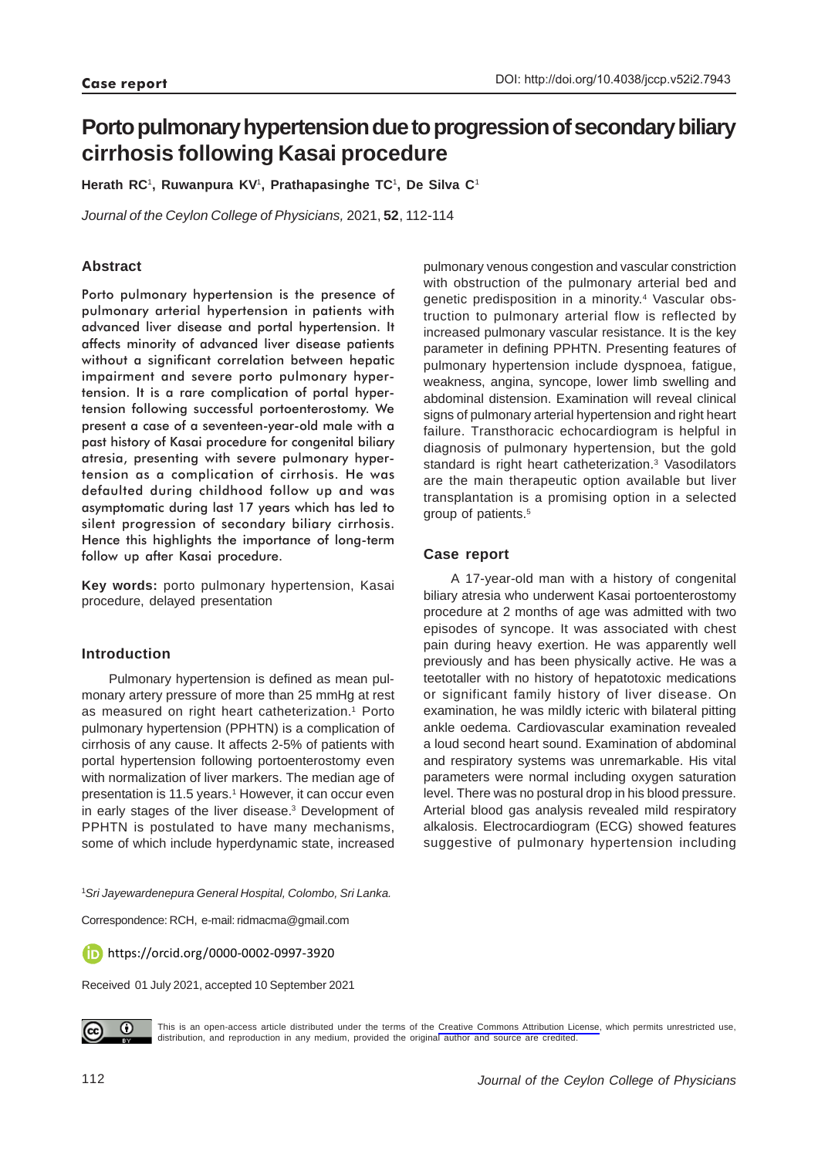# **Porto pulmonary hypertension due to progression of secondary biliary cirrhosis following Kasai procedure**

**Herath RC**1**, Ruwanpura KV**1**, Prathapasinghe TC**1**, De Silva C**<sup>1</sup>

*Journal of the Ceylon College of Physicians,* 2021, **52**, 112-114

## **Abstract**

Porto pulmonary hypertension is the presence of pulmonary arterial hypertension in patients with advanced liver disease and portal hypertension. It affects minority of advanced liver disease patients without a significant correlation between hepatic impairment and severe porto pulmonary hypertension. It is a rare complication of portal hypertension following successful portoenterostomy. We present a case of a seventeen-year-old male with a past history of Kasai procedure for congenital biliary atresia, presenting with severe pulmonary hypertension as a complication of cirrhosis. He was defaulted during childhood follow up and was asymptomatic during last 17 years which has led to silent progression of secondary biliary cirrhosis. Hence this highlights the importance of long-term follow up after Kasai procedure.

**Key words:** porto pulmonary hypertension, Kasai procedure, delayed presentation

## **Introduction**

Pulmonary hypertension is defined as mean pulmonary artery pressure of more than 25 mmHg at rest as measured on right heart catheterization.<sup>1</sup> Porto pulmonary hypertension (PPHTN) is a complication of cirrhosis of any cause. It affects 2-5% of patients with portal hypertension following portoenterostomy even with normalization of liver markers. The median age of presentation is 11.5 years.<sup>1</sup> However, it can occur even in early stages of the liver disease.3 Development of PPHTN is postulated to have many mechanisms, some of which include hyperdynamic state, increased

pulmonary venous congestion and vascular constriction with obstruction of the pulmonary arterial bed and genetic predisposition in a minority.<sup>4</sup> Vascular obstruction to pulmonary arterial flow is reflected by increased pulmonary vascular resistance. It is the key parameter in defining PPHTN. Presenting features of pulmonary hypertension include dyspnoea, fatigue, weakness, angina, syncope, lower limb swelling and abdominal distension. Examination will reveal clinical signs of pulmonary arterial hypertension and right heart failure. Transthoracic echocardiogram is helpful in diagnosis of pulmonary hypertension, but the gold standard is right heart catheterization.<sup>3</sup> Vasodilators are the main therapeutic option available but liver transplantation is a promising option in a selected group of patients.5

### **Case report**

A 17-year-old man with a history of congenital biliary atresia who underwent Kasai portoenterostomy procedure at 2 months of age was admitted with two episodes of syncope. It was associated with chest pain during heavy exertion. He was apparently well previously and has been physically active. He was a teetotaller with no history of hepatotoxic medications or significant family history of liver disease. On examination, he was mildly icteric with bilateral pitting ankle oedema. Cardiovascular examination revealed a loud second heart sound. Examination of abdominal and respiratory systems was unremarkable. His vital parameters were normal including oxygen saturation level. There was no postural drop in his blood pressure. Arterial blood gas analysis revealed mild respiratory alkalosis. Electrocardiogram (ECG) showed features suggestive of pulmonary hypertension including

1 *Sri Jayewardenepura General Hospital, Colombo, Sri Lanka.*

Correspondence: RCH, e-mail: ridmacma@gmail.com

https://orcid.org/0000-0002-0997-3920

Received 01 July 2021, accepted 10 September 2021



This is an open-access article distributed under the terms of the [Creative Commons Attribution License](https://creativecommons.org/licenses/by/4.0/legalcode), which permits unrestricted use, distribution, and reproduction in any medium, provided the original author and source are credited.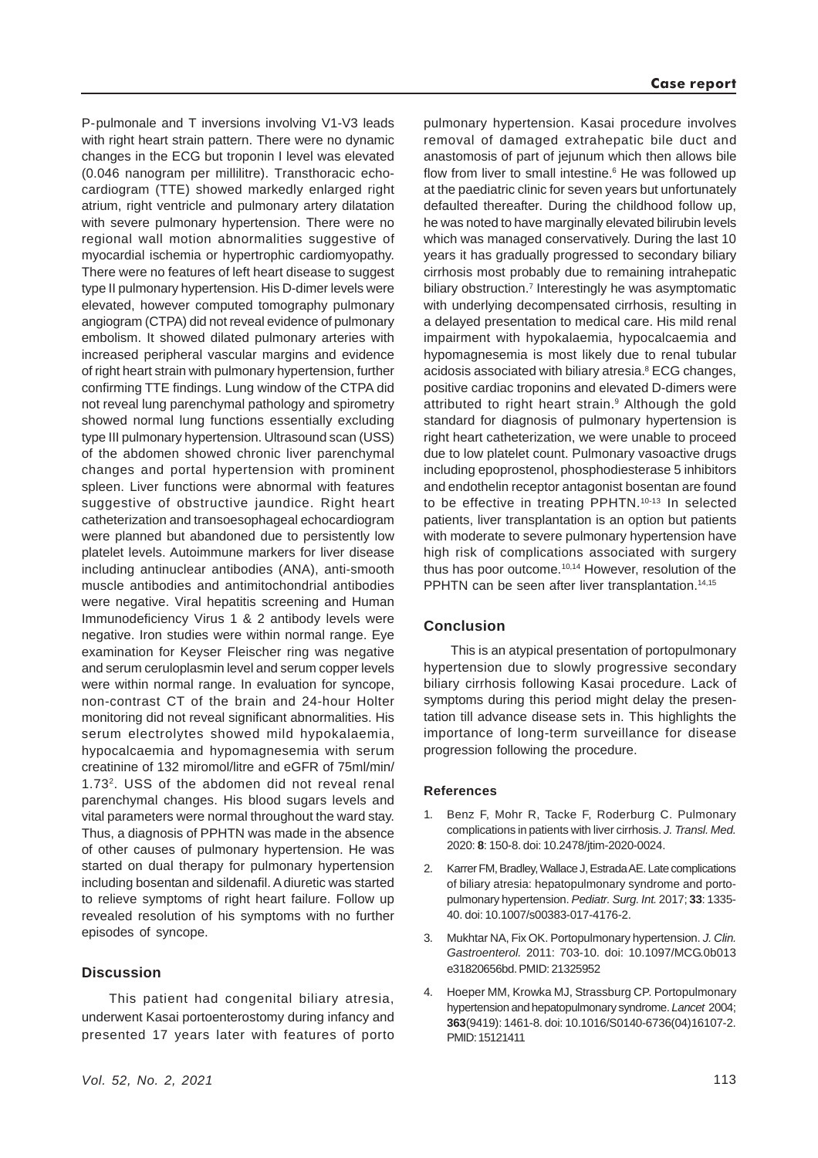P-pulmonale and T inversions involving V1-V3 leads with right heart strain pattern. There were no dynamic changes in the ECG but troponin I level was elevated (0.046 nanogram per millilitre). Transthoracic echocardiogram (TTE) showed markedly enlarged right atrium, right ventricle and pulmonary artery dilatation with severe pulmonary hypertension. There were no regional wall motion abnormalities suggestive of myocardial ischemia or hypertrophic cardiomyopathy. There were no features of left heart disease to suggest type II pulmonary hypertension. His D-dimer levels were elevated, however computed tomography pulmonary angiogram (CTPA) did not reveal evidence of pulmonary embolism. It showed dilated pulmonary arteries with increased peripheral vascular margins and evidence of right heart strain with pulmonary hypertension, further confirming TTE findings. Lung window of the CTPA did not reveal lung parenchymal pathology and spirometry showed normal lung functions essentially excluding type III pulmonary hypertension. Ultrasound scan (USS) of the abdomen showed chronic liver parenchymal changes and portal hypertension with prominent spleen. Liver functions were abnormal with features suggestive of obstructive jaundice. Right heart catheterization and transoesophageal echocardiogram were planned but abandoned due to persistently low platelet levels. Autoimmune markers for liver disease including antinuclear antibodies (ANA), anti-smooth muscle antibodies and antimitochondrial antibodies were negative. Viral hepatitis screening and Human Immunodeficiency Virus 1 & 2 antibody levels were negative. Iron studies were within normal range. Eye examination for Keyser Fleischer ring was negative and serum ceruloplasmin level and serum copper levels were within normal range. In evaluation for syncope, non-contrast CT of the brain and 24-hour Holter monitoring did not reveal significant abnormalities. His serum electrolytes showed mild hypokalaemia, hypocalcaemia and hypomagnesemia with serum creatinine of 132 miromol/litre and eGFR of 75ml/min/ 1.732. USS of the abdomen did not reveal renal parenchymal changes. His blood sugars levels and vital parameters were normal throughout the ward stay. Thus, a diagnosis of PPHTN was made in the absence of other causes of pulmonary hypertension. He was started on dual therapy for pulmonary hypertension including bosentan and sildenafil. A diuretic was started to relieve symptoms of right heart failure. Follow up revealed resolution of his symptoms with no further episodes of syncope.

#### **Discussion**

This patient had congenital biliary atresia, underwent Kasai portoenterostomy during infancy and presented 17 years later with features of porto

pulmonary hypertension. Kasai procedure involves removal of damaged extrahepatic bile duct and anastomosis of part of jejunum which then allows bile flow from liver to small intestine.<sup>6</sup> He was followed up at the paediatric clinic for seven years but unfortunately defaulted thereafter. During the childhood follow up, he was noted to have marginally elevated bilirubin levels which was managed conservatively. During the last 10 years it has gradually progressed to secondary biliary cirrhosis most probably due to remaining intrahepatic biliary obstruction.<sup>7</sup> Interestingly he was asymptomatic with underlying decompensated cirrhosis, resulting in a delayed presentation to medical care. His mild renal impairment with hypokalaemia, hypocalcaemia and hypomagnesemia is most likely due to renal tubular acidosis associated with biliary atresia.<sup>8</sup> ECG changes, positive cardiac troponins and elevated D-dimers were attributed to right heart strain.<sup>9</sup> Although the gold standard for diagnosis of pulmonary hypertension is right heart catheterization, we were unable to proceed due to low platelet count. Pulmonary vasoactive drugs including epoprostenol, phosphodiesterase 5 inhibitors and endothelin receptor antagonist bosentan are found to be effective in treating PPHTN.<sup>10-13</sup> In selected patients, liver transplantation is an option but patients with moderate to severe pulmonary hypertension have high risk of complications associated with surgery thus has poor outcome.<sup>10,14</sup> However, resolution of the PPHTN can be seen after liver transplantation.<sup>14,15</sup>

## **Conclusion**

This is an atypical presentation of portopulmonary hypertension due to slowly progressive secondary biliary cirrhosis following Kasai procedure. Lack of symptoms during this period might delay the presentation till advance disease sets in. This highlights the importance of long-term surveillance for disease progression following the procedure.

#### **References**

- 1. Benz F, Mohr R, Tacke F, Roderburg C. Pulmonary complications in patients with liver cirrhosis. *J. Transl. Med.* 2020: **8**: 150-8. doi: 10.2478/jtim-2020-0024.
- 2. Karrer FM, Bradley, Wallace J, Estrada AE. Late complications of biliary atresia: hepatopulmonary syndrome and portopulmonary hypertension. *Pediatr. Surg. Int.* 2017; **33**: 1335- 40. doi: 10.1007/s00383-017-4176-2.
- 3. Mukhtar NA, Fix OK. Portopulmonary hypertension. *J. Clin. Gastroenterol.* 2011: 703-10. doi: 10.1097/MCG.0b013 e31820656bd. PMID: 21325952
- 4. Hoeper MM, Krowka MJ, Strassburg CP. Portopulmonary hypertension and hepatopulmonary syndrome. *Lancet* 2004; **363**(9419): 1461-8. doi: 10.1016/S0140-6736(04)16107-2. PMID: 15121411